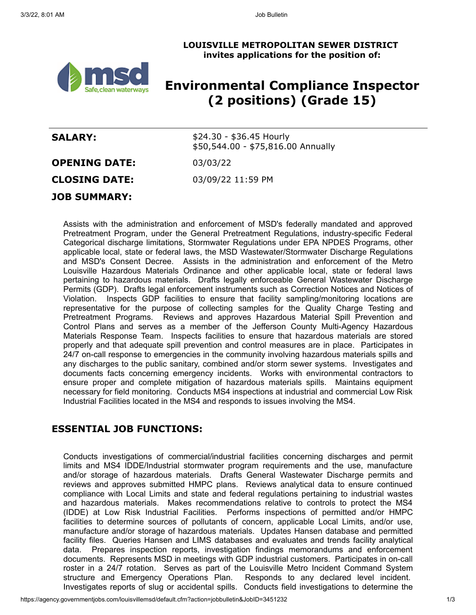#### **LOUISVILLE METROPOLITAN SEWER DISTRICT invites applications for the position of:**



# **Environmental Compliance Inspector (2 positions) (Grade 15)**

| <b>SALARY:</b>       | $$24.30 - $36.45$ Hourly<br>\$50,544.00 - \$75,816.00 Annually |
|----------------------|----------------------------------------------------------------|
| <b>OPENING DATE:</b> | 03/03/22                                                       |
| <b>CLOSING DATE:</b> | 03/09/22 11:59 PM                                              |
| <b>JOB SUMMARY:</b>  |                                                                |

Assists with the administration and enforcement of MSD's federally mandated and approved Pretreatment Program, under the General Pretreatment Regulations, industry-specific Federal Categorical discharge limitations, Stormwater Regulations under EPA NPDES Programs, other applicable local, state or federal laws, the MSD Wastewater/Stormwater Discharge Regulations and MSD's Consent Decree. Assists in the administration and enforcement of the Metro Louisville Hazardous Materials Ordinance and other applicable local, state or federal laws pertaining to hazardous materials. Drafts legally enforceable General Wastewater Discharge Permits (GDP). Drafts legal enforcement instruments such as Correction Notices and Notices of Violation. Inspects GDP facilities to ensure that facility sampling/monitoring locations are representative for the purpose of collecting samples for the Quality Charge Testing and Pretreatment Programs. Reviews and approves Hazardous Material Spill Prevention and Control Plans and serves as a member of the Jefferson County Multi-Agency Hazardous Materials Response Team. Inspects facilities to ensure that hazardous materials are stored properly and that adequate spill prevention and control measures are in place. Participates in 24/7 on-call response to emergencies in the community involving hazardous materials spills and any discharges to the public sanitary, combined and/or storm sewer systems. Investigates and documents facts concerning emergency incidents. Works with environmental contractors to ensure proper and complete mitigation of hazardous materials spills. Maintains equipment necessary for field monitoring. Conducts MS4 inspections at industrial and commercial Low Risk Industrial Facilities located in the MS4 and responds to issues involving the MS4.

# **ESSENTIAL JOB FUNCTIONS:**

Conducts investigations of commercial/industrial facilities concerning discharges and permit limits and MS4 IDDE/Industrial stormwater program requirements and the use, manufacture and/or storage of hazardous materials. Drafts General Wastewater Discharge permits and reviews and approves submitted HMPC plans. Reviews analytical data to ensure continued compliance with Local Limits and state and federal regulations pertaining to industrial wastes and hazardous materials. Makes recommendations relative to controls to protect the MS4 (IDDE) at Low Risk Industrial Facilities. Performs inspections of permitted and/or HMPC facilities to determine sources of pollutants of concern, applicable Local Limits, and/or use, manufacture and/or storage of hazardous materials. Updates Hansen database and permitted facility files. Queries Hansen and LIMS databases and evaluates and trends facility analytical data. Prepares inspection reports, investigation findings memorandums and enforcement documents. Represents MSD in meetings with GDP industrial customers. Participates in on-call roster in a 24/7 rotation. Serves as part of the Louisville Metro Incident Command System structure and Emergency Operations Plan. Responds to any declared level incident. Investigates reports of slug or accidental spills. Conducts field investigations to determine the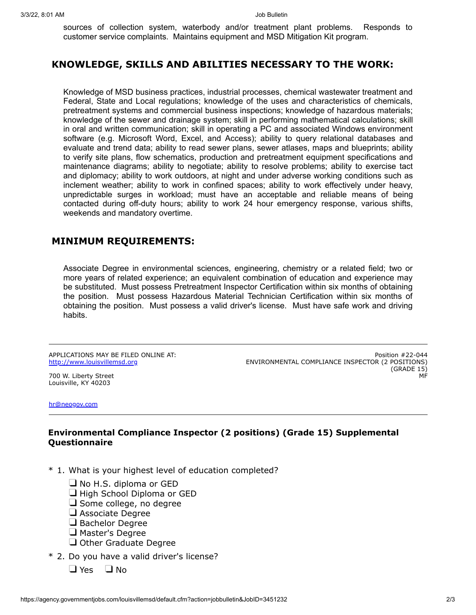sources of collection system, waterbody and/or treatment plant problems. Responds to customer service complaints. Maintains equipment and MSD Mitigation Kit program.

## **KNOWLEDGE, SKILLS AND ABILITIES NECESSARY TO THE WORK:**

Knowledge of MSD business practices, industrial processes, chemical wastewater treatment and Federal, State and Local regulations; knowledge of the uses and characteristics of chemicals, pretreatment systems and commercial business inspections; knowledge of hazardous materials; knowledge of the sewer and drainage system; skill in performing mathematical calculations; skill in oral and written communication; skill in operating a PC and associated Windows environment software (e.g. Microsoft Word, Excel, and Access); ability to query relational databases and evaluate and trend data; ability to read sewer plans, sewer atlases, maps and blueprints; ability to verify site plans, flow schematics, production and pretreatment equipment specifications and maintenance diagrams; ability to negotiate; ability to resolve problems; ability to exercise tact and diplomacy; ability to work outdoors, at night and under adverse working conditions such as inclement weather; ability to work in confined spaces; ability to work effectively under heavy, unpredictable surges in workload; must have an acceptable and reliable means of being contacted during off-duty hours; ability to work 24 hour emergency response, various shifts, weekends and mandatory overtime.

## **MINIMUM REQUIREMENTS:**

Associate Degree in environmental sciences, engineering, chemistry or a related field; two or more years of related experience; an equivalent combination of education and experience may be substituted. Must possess Pretreatment Inspector Certification within six months of obtaining the position. Must possess Hazardous Material Technician Certification within six months of obtaining the position. Must possess a valid driver's license. Must have safe work and driving habits.

APPLICATIONS MAY BE FILED ONLINE AT: [http://www.louisvillemsd.org](http://www.louisvillemsd.org/)

Position #22-044 ENVIRONMENTAL COMPLIANCE INSPECTOR (2 POSITIONS) (GRADE 15) MF

700 W. Liberty Street Louisville, KY 40203

[hr@neogov.com](mailto:hr@neogov.com)

#### **Environmental Compliance Inspector (2 positions) (Grade 15) Supplemental Questionnaire**

- \* 1. What is your highest level of education completed?
	- $\Box$  No H.S. diploma or GED
	- $\Box$  High School Diploma or GED
	- $\Box$  Some college, no degree
	- $\Box$  Associate Degree
	- $\Box$  Bachelor Degree
	- $\Box$  Master's Degree
	- $\Box$  Other Graduate Degree
- \* 2. Do you have a valid driver's license?
	- $\Box$  Yes  $\Box$  No